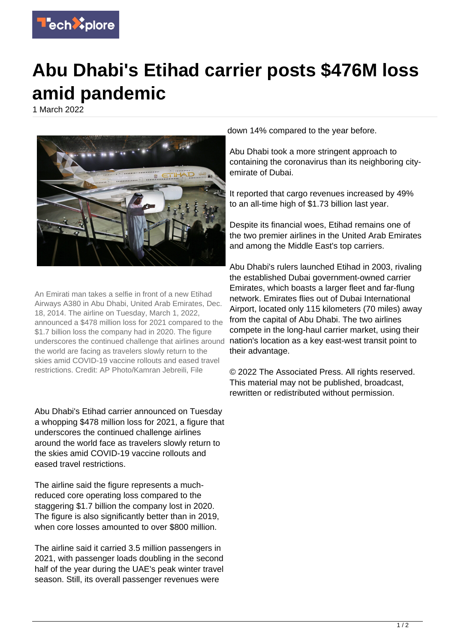

## **Abu Dhabi's Etihad carrier posts \$476M loss amid pandemic**

1 March 2022



An Emirati man takes a selfie in front of a new Etihad Airways A380 in Abu Dhabi, United Arab Emirates, Dec. 18, 2014. The airline on Tuesday, March 1, 2022, announced a \$478 million loss for 2021 compared to the \$1.7 billion loss the company had in 2020. The figure underscores the continued challenge that airlines around the world are facing as travelers slowly return to the skies amid COVID-19 vaccine rollouts and eased travel restrictions. Credit: AP Photo/Kamran Jebreili, File

Abu Dhabi's Etihad carrier announced on Tuesday a whopping \$478 million loss for 2021, a figure that underscores the continued challenge airlines around the world face as travelers slowly return to the skies amid COVID-19 vaccine rollouts and eased travel restrictions.

The airline said the figure represents a muchreduced core operating loss compared to the staggering \$1.7 billion the company lost in 2020. The figure is also significantly better than in 2019, when core losses amounted to over \$800 million.

The airline said it carried 3.5 million passengers in 2021, with passenger loads doubling in the second half of the year during the UAE's peak winter travel season. Still, its overall passenger revenues were

down 14% compared to the year before.

Abu Dhabi took a more stringent approach to containing the coronavirus than its neighboring cityemirate of Dubai.

It reported that cargo revenues increased by 49% to an all-time high of \$1.73 billion last year.

Despite its financial woes, Etihad remains one of the two premier airlines in the United Arab Emirates and among the Middle East's top carriers.

Abu Dhabi's rulers launched Etihad in 2003, rivaling the established Dubai government-owned carrier Emirates, which boasts a larger fleet and far-flung network. Emirates flies out of Dubai International Airport, located only 115 kilometers (70 miles) away from the capital of Abu Dhabi. The two airlines compete in the long-haul carrier market, using their nation's location as a key east-west transit point to their advantage.

© 2022 The Associated Press. All rights reserved. This material may not be published, broadcast, rewritten or redistributed without permission.